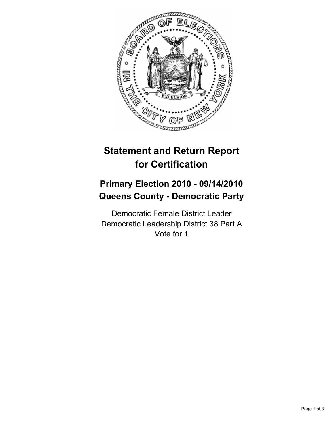

# **Statement and Return Report for Certification**

## **Primary Election 2010 - 09/14/2010 Queens County - Democratic Party**

Democratic Female District Leader Democratic Leadership District 38 Part A Vote for 1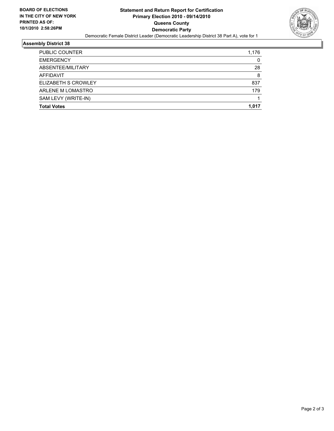

### **Assembly District 38**

| PUBLIC COUNTER             | 1.176 |
|----------------------------|-------|
| <b>EMERGENCY</b>           | 0     |
| ABSENTEE/MILITARY          | 28    |
| AFFIDAVIT                  | 8     |
| <b>ELIZABETH S CROWLEY</b> | 837   |
| ARLENE M LOMASTRO          | 179   |
| SAM LEVY (WRITE-IN)        |       |
| <b>Total Votes</b>         | 1.017 |
|                            |       |